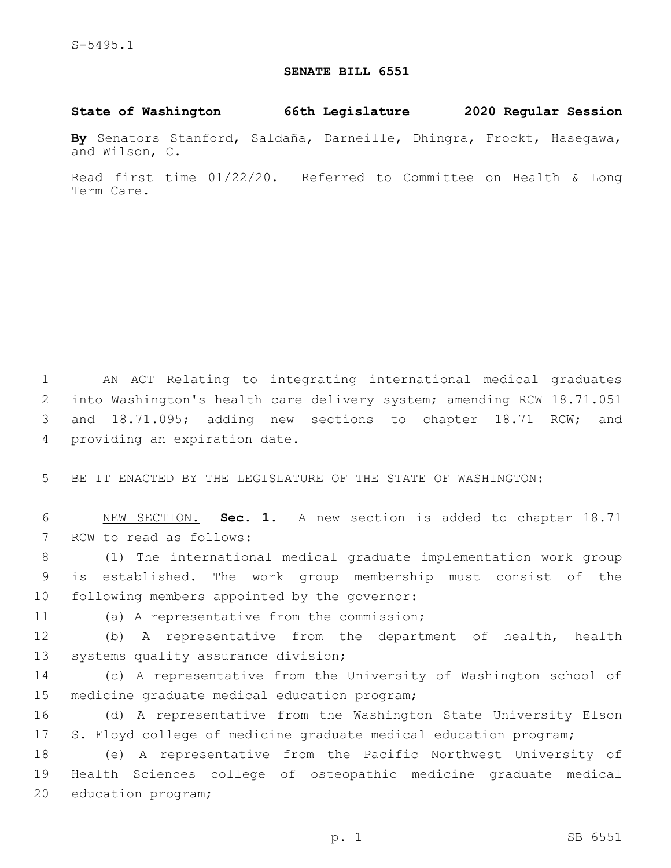## **SENATE BILL 6551**

## **State of Washington 66th Legislature 2020 Regular Session**

**By** Senators Stanford, Saldaña, Darneille, Dhingra, Frockt, Hasegawa, and Wilson, C.

Read first time 01/22/20. Referred to Committee on Health & Long Term Care.

 AN ACT Relating to integrating international medical graduates into Washington's health care delivery system; amending RCW 18.71.051 and 18.71.095; adding new sections to chapter 18.71 RCW; and 4 providing an expiration date.

5 BE IT ENACTED BY THE LEGISLATURE OF THE STATE OF WASHINGTON:

6 NEW SECTION. **Sec. 1.** A new section is added to chapter 18.71 7 RCW to read as follows:

8 (1) The international medical graduate implementation work group 9 is established. The work group membership must consist of the 10 following members appointed by the governor:

11 (a) A representative from the commission;

12 (b) A representative from the department of health, health 13 systems quality assurance division;

14 (c) A representative from the University of Washington school of 15 medicine graduate medical education program;

16 (d) A representative from the Washington State University Elson 17 S. Floyd college of medicine graduate medical education program;

18 (e) A representative from the Pacific Northwest University of 19 Health Sciences college of osteopathic medicine graduate medical 20 education program;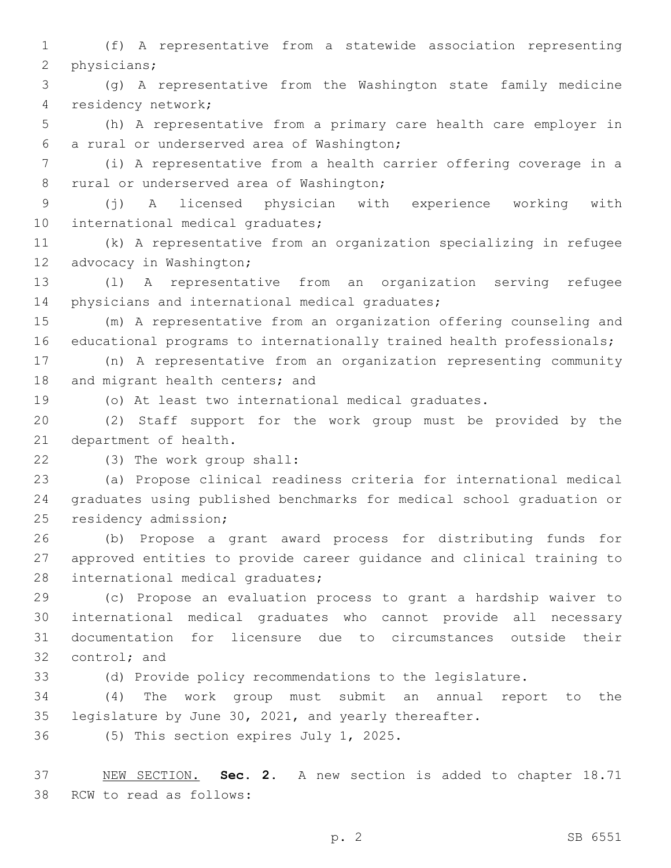1 (f) A representative from a statewide association representing 2 physicians;

3 (g) A representative from the Washington state family medicine residency network;4

5 (h) A representative from a primary care health care employer in a rural or underserved area of Washington;6

7 (i) A representative from a health carrier offering coverage in a 8 rural or underserved area of Washington;

9 (j) A licensed physician with experience working with 10 international medical graduates;

11 (k) A representative from an organization specializing in refugee 12 advocacy in Washington;

13 (l) A representative from an organization serving refugee 14 physicians and international medical graduates;

15 (m) A representative from an organization offering counseling and 16 educational programs to internationally trained health professionals;

17 (n) A representative from an organization representing community 18 and migrant health centers; and

19 (o) At least two international medical graduates.

20 (2) Staff support for the work group must be provided by the 21 department of health.

(3) The work group shall:22

23 (a) Propose clinical readiness criteria for international medical 24 graduates using published benchmarks for medical school graduation or 25 residency admission;

26 (b) Propose a grant award process for distributing funds for 27 approved entities to provide career guidance and clinical training to 28 international medical graduates;

 (c) Propose an evaluation process to grant a hardship waiver to international medical graduates who cannot provide all necessary documentation for licensure due to circumstances outside their 32 control; and

33 (d) Provide policy recommendations to the legislature.

34 (4) The work group must submit an annual report to the 35 legislature by June 30, 2021, and yearly thereafter.

36 (5) This section expires July 1, 2025.

37 NEW SECTION. **Sec. 2.** A new section is added to chapter 18.71 38 RCW to read as follows: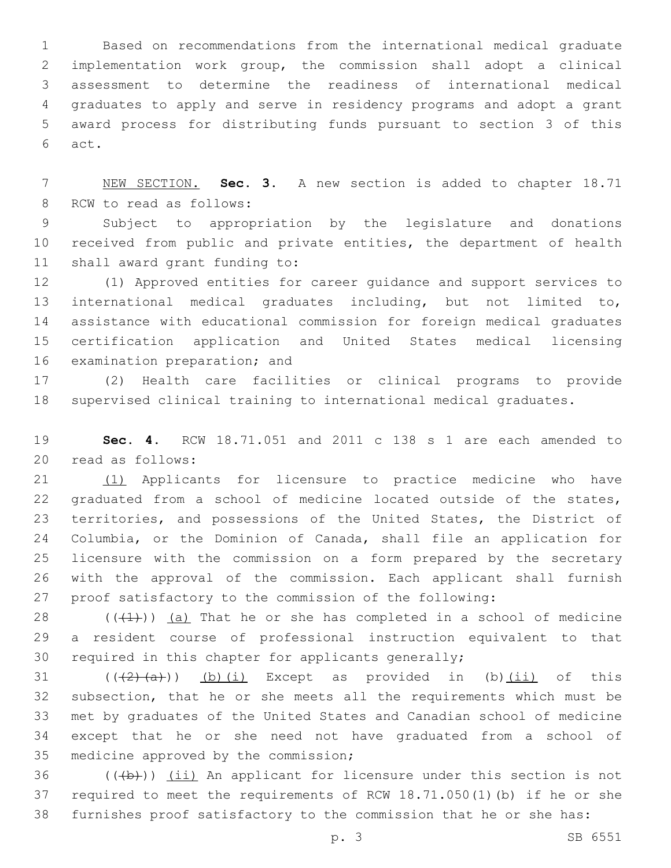Based on recommendations from the international medical graduate implementation work group, the commission shall adopt a clinical assessment to determine the readiness of international medical graduates to apply and serve in residency programs and adopt a grant award process for distributing funds pursuant to section 3 of this 6 act.

 NEW SECTION. **Sec. 3.** A new section is added to chapter 18.71 8 RCW to read as follows:

 Subject to appropriation by the legislature and donations received from public and private entities, the department of health 11 shall award grant funding to:

 (1) Approved entities for career guidance and support services to international medical graduates including, but not limited to, assistance with educational commission for foreign medical graduates certification application and United States medical licensing 16 examination preparation; and

 (2) Health care facilities or clinical programs to provide supervised clinical training to international medical graduates.

 **Sec. 4.** RCW 18.71.051 and 2011 c 138 s 1 are each amended to 20 read as follows:

 (1) Applicants for licensure to practice medicine who have graduated from a school of medicine located outside of the states, territories, and possessions of the United States, the District of Columbia, or the Dominion of Canada, shall file an application for licensure with the commission on a form prepared by the secretary with the approval of the commission. Each applicant shall furnish proof satisfactory to the commission of the following:

 $((+1))$  (a) That he or she has completed in a school of medicine a resident course of professional instruction equivalent to that required in this chapter for applicants generally;

 $((+2)+(a))$   $(b)$   $(i)$  Except as provided in (b) $(ii)$  of this subsection, that he or she meets all the requirements which must be met by graduates of the United States and Canadian school of medicine except that he or she need not have graduated from a school of 35 medicine approved by the commission;

36  $((+b))$  (ii) An applicant for licensure under this section is not required to meet the requirements of RCW 18.71.050(1)(b) if he or she furnishes proof satisfactory to the commission that he or she has: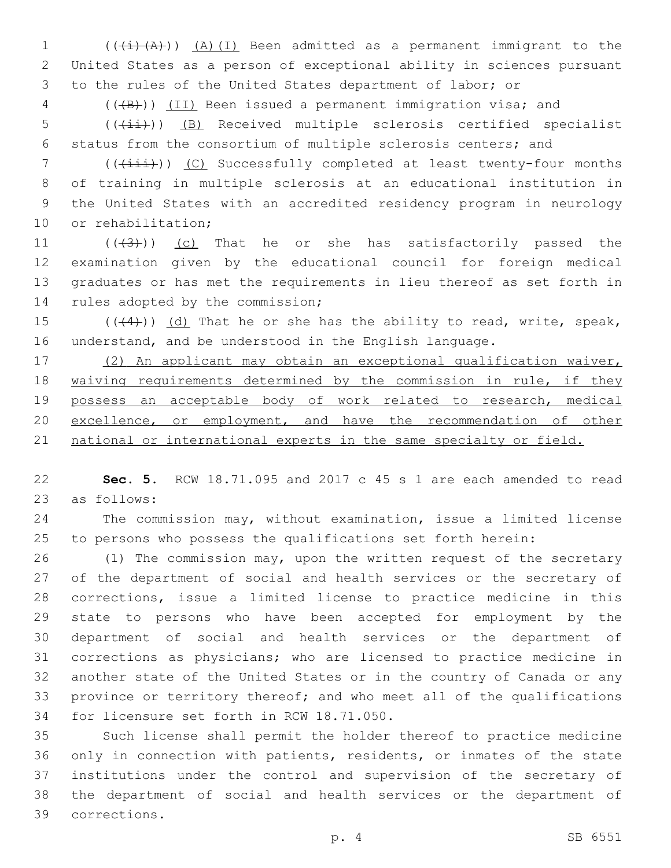1  $((+i)(A))$   $(A)(I)$  Been admitted as a permanent immigrant to the United States as a person of exceptional ability in sciences pursuant to the rules of the United States department of labor; or

4 (((B))) (II) Been issued a permanent immigration visa; and

5 (( $(i+1)$ ) (B) Received multiple sclerosis certified specialist status from the consortium of multiple sclerosis centers; and

7 (( $(i+ii)$ ) (C) Successfully completed at least twenty-four months of training in multiple sclerosis at an educational institution in the United States with an accredited residency program in neurology 10 or rehabilitation;

 $((43))$  (c) That he or she has satisfactorily passed the examination given by the educational council for foreign medical graduates or has met the requirements in lieu thereof as set forth in 14 rules adopted by the commission;

15  $((44))$   $(d)$  That he or she has the ability to read, write, speak, understand, and be understood in the English language.

 (2) An applicant may obtain an exceptional qualification waiver, 18 waiving requirements determined by the commission in rule, if they possess an acceptable body of work related to research, medical 20 excellence, or employment, and have the recommendation of other 21 national or international experts in the same specialty or field.

 **Sec. 5.** RCW 18.71.095 and 2017 c 45 s 1 are each amended to read 23 as follows:

 The commission may, without examination, issue a limited license to persons who possess the qualifications set forth herein:

 (1) The commission may, upon the written request of the secretary of the department of social and health services or the secretary of corrections, issue a limited license to practice medicine in this state to persons who have been accepted for employment by the department of social and health services or the department of corrections as physicians; who are licensed to practice medicine in another state of the United States or in the country of Canada or any province or territory thereof; and who meet all of the qualifications 34 for licensure set forth in RCW 18.71.050.

 Such license shall permit the holder thereof to practice medicine only in connection with patients, residents, or inmates of the state institutions under the control and supervision of the secretary of the department of social and health services or the department of corrections.39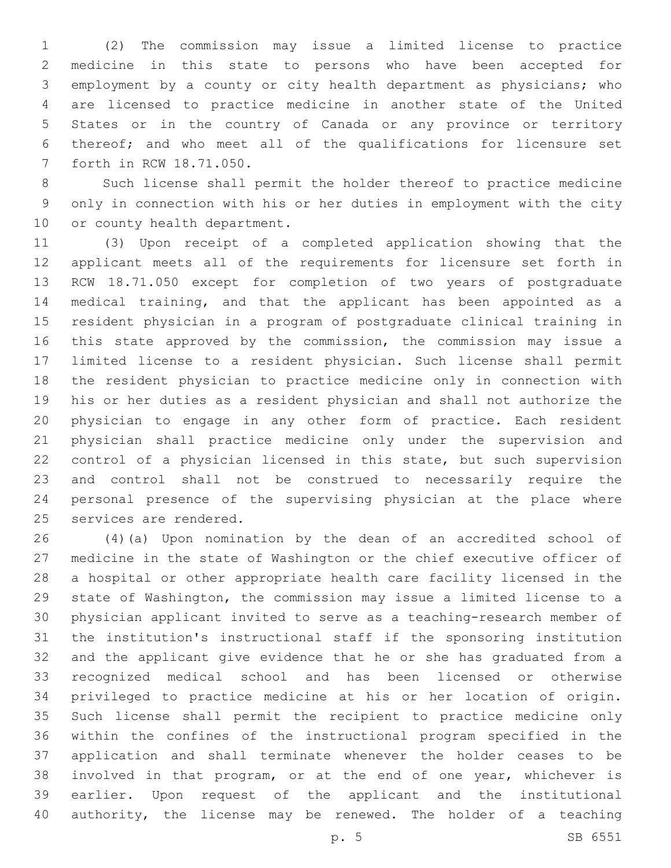(2) The commission may issue a limited license to practice medicine in this state to persons who have been accepted for employment by a county or city health department as physicians; who are licensed to practice medicine in another state of the United States or in the country of Canada or any province or territory thereof; and who meet all of the qualifications for licensure set 7 forth in RCW 18.71.050.

 Such license shall permit the holder thereof to practice medicine only in connection with his or her duties in employment with the city 10 or county health department.

 (3) Upon receipt of a completed application showing that the applicant meets all of the requirements for licensure set forth in RCW 18.71.050 except for completion of two years of postgraduate medical training, and that the applicant has been appointed as a resident physician in a program of postgraduate clinical training in this state approved by the commission, the commission may issue a limited license to a resident physician. Such license shall permit the resident physician to practice medicine only in connection with his or her duties as a resident physician and shall not authorize the physician to engage in any other form of practice. Each resident physician shall practice medicine only under the supervision and control of a physician licensed in this state, but such supervision and control shall not be construed to necessarily require the personal presence of the supervising physician at the place where 25 services are rendered.

 (4)(a) Upon nomination by the dean of an accredited school of medicine in the state of Washington or the chief executive officer of a hospital or other appropriate health care facility licensed in the state of Washington, the commission may issue a limited license to a physician applicant invited to serve as a teaching-research member of the institution's instructional staff if the sponsoring institution and the applicant give evidence that he or she has graduated from a recognized medical school and has been licensed or otherwise privileged to practice medicine at his or her location of origin. Such license shall permit the recipient to practice medicine only within the confines of the instructional program specified in the application and shall terminate whenever the holder ceases to be involved in that program, or at the end of one year, whichever is earlier. Upon request of the applicant and the institutional authority, the license may be renewed. The holder of a teaching

p. 5 SB 6551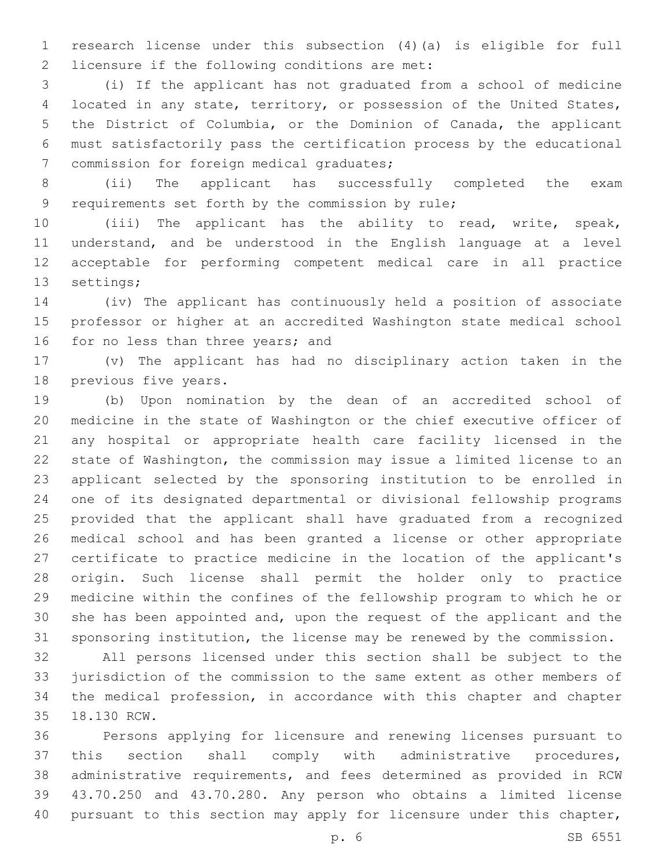research license under this subsection (4)(a) is eligible for full 2 licensure if the following conditions are met:

 (i) If the applicant has not graduated from a school of medicine located in any state, territory, or possession of the United States, the District of Columbia, or the Dominion of Canada, the applicant must satisfactorily pass the certification process by the educational 7 commission for foreign medical graduates;

 (ii) The applicant has successfully completed the exam 9 requirements set forth by the commission by rule;

 (iii) The applicant has the ability to read, write, speak, understand, and be understood in the English language at a level acceptable for performing competent medical care in all practice 13 settings;

 (iv) The applicant has continuously held a position of associate professor or higher at an accredited Washington state medical school 16 for no less than three years; and

 (v) The applicant has had no disciplinary action taken in the 18 previous five years.

 (b) Upon nomination by the dean of an accredited school of medicine in the state of Washington or the chief executive officer of any hospital or appropriate health care facility licensed in the state of Washington, the commission may issue a limited license to an applicant selected by the sponsoring institution to be enrolled in one of its designated departmental or divisional fellowship programs provided that the applicant shall have graduated from a recognized medical school and has been granted a license or other appropriate certificate to practice medicine in the location of the applicant's origin. Such license shall permit the holder only to practice medicine within the confines of the fellowship program to which he or she has been appointed and, upon the request of the applicant and the sponsoring institution, the license may be renewed by the commission.

 All persons licensed under this section shall be subject to the jurisdiction of the commission to the same extent as other members of the medical profession, in accordance with this chapter and chapter 18.130 RCW.35

 Persons applying for licensure and renewing licenses pursuant to this section shall comply with administrative procedures, administrative requirements, and fees determined as provided in RCW 43.70.250 and 43.70.280. Any person who obtains a limited license 40 pursuant to this section may apply for licensure under this chapter,

p. 6 SB 6551